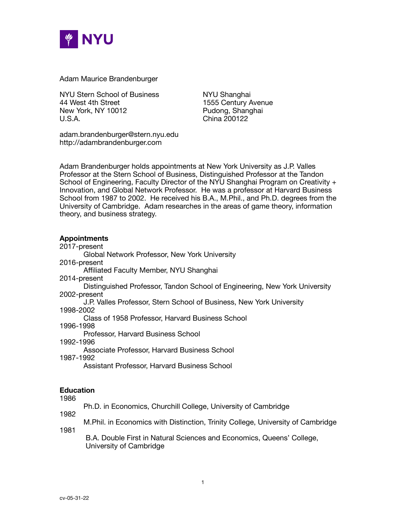

Adam Maurice Brandenburger

NYU Stern School of Business NYU Shanghai 44 West 4th Street **1555 Century Avenue** New York, NY 10012 **Brand Blue Control** Pudong, Shanghai U.S.A. **China 200122** 

adam.brandenburger@stern.nyu.edu http://adambrandenburger.com

Adam Brandenburger holds appointments at New York University as J.P. Valles Professor at the Stern School of Business, Distinguished Professor at the Tandon School of Engineering, Faculty Director of the NYU Shanghai Program on Creativity + Innovation, and Global Network Professor. He was a professor at Harvard Business School from 1987 to 2002. He received his B.A., M.Phil., and Ph.D. degrees from the University of Cambridge. Adam researches in the areas of game theory, information theory, and business strategy.

## **Appointments**

#### 2017-present Global Network Professor, New York University

2016-present

Affiliated Faculty Member, NYU Shanghai

2014-present

Distinguished Professor, Tandon School of Engineering, New York University 2002-present

J.P. Valles Professor, Stern School of Business, New York University

1998-2002

Class of 1958 Professor, Harvard Business School

1996-1998

Professor, Harvard Business School

1992-1996

Associate Professor, Harvard Business School

1987-1992

Assistant Professor, Harvard Business School

# **Education**

1986

Ph.D. in Economics, Churchill College, University of Cambridge 1982

1981

M.Phil. in Economics with Distinction, Trinity College, University of Cambridge

B.A. Double First in Natural Sciences and Economics, Queens' College, University of Cambridge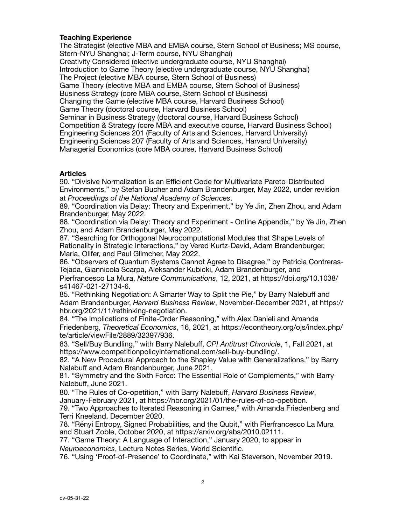### **Teaching Experience**

The Strategist (elective MBA and EMBA course, Stern School of Business; MS course, Stern-NYU Shanghai; J-Term course, NYU Shanghai) Creativity Considered (elective undergraduate course, NYU Shanghai) Introduction to Game Theory (elective undergraduate course, NYU Shanghai) The Project (elective MBA course, Stern School of Business) Game Theory (elective MBA and EMBA course, Stern School of Business) Business Strategy (core MBA course, Stern School of Business) Changing the Game (elective MBA course, Harvard Business School) Game Theory (doctoral course, Harvard Business School) Seminar in Business Strategy (doctoral course, Harvard Business School) Competition & Strategy (core MBA and executive course, Harvard Business School) Engineering Sciences 201 (Faculty of Arts and Sciences, Harvard University) Engineering Sciences 207 (Faculty of Arts and Sciences, Harvard University) Managerial Economics (core MBA course, Harvard Business School)

#### **Articles**

90. "Divisive Normalization is an Efficient Code for Multivariate Pareto-Distributed Environments," by Stefan Bucher and Adam Brandenburger, May 2022, under revision at *Proceedings of the National Academy of Sciences*.

89. "Coordination via Delay: Theory and Experiment," by Ye Jin, Zhen Zhou, and Adam Brandenburger, May 2022.

88. "Coordination via Delay: Theory and Experiment - Online Appendix," by Ye Jin, Zhen Zhou, and Adam Brandenburger, May 2022.

87. "Searching for Orthogonal Neurocomputational Modules that Shape Levels of Rationality in Strategic Interactions," by Vered Kurtz-David, Adam Brandenburger, Maria, Olifer, and Paul Glimcher, May 2022.

86. "Observers of Quantum Systems Cannot Agree to Disagree," by Patricia Contreras-Tejada, Giannicola Scarpa, Aleksander Kubicki, Adam Brandenburger, and Pierfrancesco La Mura, *Nature Communications*, 12, 2021, at https://doi.org/10.1038/

s41467-021-27134-6.

85. "Rethinking Negotiation: A Smarter Way to Split the Pie," by Barry Nalebuff and Adam Brandenburger, *Harvard Business Review*, November-December 2021, at https:// hbr.org/2021/11/rethinking-negotiation.

84. "The Implications of Finite-Order Reasoning," with Alex Danieli and Amanda Friedenberg, *Theoretical Economics*, 16, 2021, at https://econtheory.org/ojs/index.php/ te/article/viewFile/2889/32397/936.

83. "Sell/Buy Bundling," with Barry Nalebuff, *CPI Antitrust Chronicle*, 1, Fall 2021, at https://www.competitionpolicyinternational.com/sell-buy-bundling/.

82. "A New Procedural Approach to the Shapley Value with Generalizations," by Barry Nalebuff and Adam Brandenburger, June 2021.

81. "Symmetry and the Sixth Force: The Essential Role of Complements," with Barry Nalebuff, June 2021.

80. "The Rules of Co-opetition," with Barry Nalebuff, *Harvard Business Review*, January-February 2021, at https://hbr.org/2021/01/the-rules-of-co-opetition.

79. "Two Approaches to Iterated Reasoning in Games," with Amanda Friedenberg and Terri Kneeland, December 2020.

78. "Rényi Entropy, Signed Probabilities, and the Qubit," with Pierfrancesco La Mura and Stuart Zoble, October 2020, at https://arxiv.org/abs/2010.02111.

77. "Game Theory: A Language of Interaction," January 2020, to appear in *Neuroeconomics*, Lecture Notes Series, World Scientific.

76. "Using 'Proof-of-Presence' to Coordinate," with Kai Steverson, November 2019.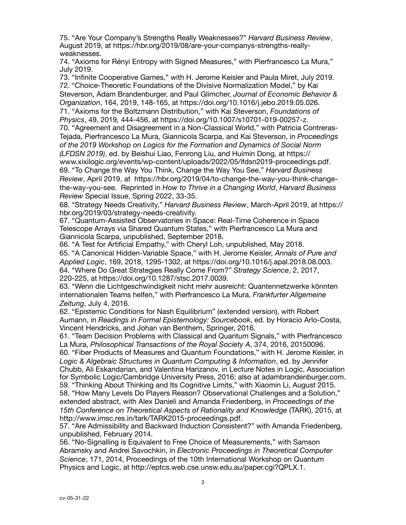75. "Are Your Company's Strengths Really Weaknesses?" *Harvard Business Review*, August 2019, at https://hbr.org/2019/08/are-your-companys-strengths-reallyweaknesses.

74. "Axioms for Rényi Entropy with Signed Measures," with Pierfrancesco La Mura," July 2019.

73. "Infinite Cooperative Games," with H. Jerome Keisler and Paula Miret, July 2019. 72. "Choice-Theoretic Foundations of the Divisive Normalization Model," by Kai Steverson, Adam Brandenburger, and Paul Glimcher, *Journal of Economic Behavior & Organization*, 164, 2019, 148-165, at https://doi.org/10.1016/j.jebo.2019.05.026. 71. "Axioms for the Boltzmann Distribution," with Kai Steverson, *Foundations of Physics*, 49, 2019*,* 444-456, at https://doi.org/10.1007/s10701-019-00257-z. 70. "Agreement and Disagreement in a Non-Classical World," with Patricia Contreras-Tejada, Pierfrancesco La Mura, Giannicola Scarpa, and Kai Steverson, in *Proceedings of the 2019 Workshop on Logics for the Formation and Dynamics of Social Norm (LFDSN 2019)*, ed. by Beishui Liao, Fenrong Liu, and Huimin Dong, at https:// www.xixilogic.org/events/wp-content/uploads/2022/05/lfdsn2019-proceedings.pdf. 69. "To Change the Way You Think, Change the Way You See," *Harvard Business Review*, April 2019, at https://hbr.org/2019/04/to-change-the-way-you-think-changethe-way-you-see. Reprinted in *How to Thrive in a Changing World*, *Harvard Business Review* Special Issue, Spring 2022, 33-35.

68. "Strategy Needs Creativity," *Harvard Business Review*, March-April 2019, at https:// hbr.org/2019/03/strategy-needs-creativity.

67. "Quantum-Assisted Observatories in Space: Real-Time Coherence in Space Telescope Arrays via Shared Quantum States," with Pierfrancesco La Mura and Giannicola Scarpa, unpublished, September 2018.

66. "A Test for Artificial Empathy," with Cheryl Loh, unpublished, May 2018. 65. "A Canonical Hidden-Variable Space," with H. Jerome Keisler, *Annals of Pure and Applied Logic*, 169, 2018, 1295-1302, at https://doi.org/10.1016/j.apal.2018.08.003. 64. "Where Do Great Strategies Really Come From?" *Strategy Science*, 2, 2017, 220-225, at https://doi.org/10.1287/stsc.2017.0039.

63. "Wenn die Lichtgeschwindigkeit nicht mehr ausreicht: Quantennetzwerke könnten internationalen Teams helfen," with Pierfrancesco La Mura, *Frankfurter Allgemeine Zeitung*, July 4, 2016.

62. "Epistemic Conditions for Nash Equilibrium" (extended version), with Robert Aumann, in *Readings in Formal Epistemology: Sourcebook*, ed. by Horacio Arlo-Costa, Vincent Hendricks, and Johan van Benthem, Springer, 2016.

61. "Team Decision Problems with Classical and Quantum Signals," with Pierfrancesco La Mura, *Philosophical Transactions of the Royal Society A*, 374, 2016, 20150096.

60. "Fiber Products of Measures and Quantum Foundations," with H. Jerome Keisler, in *Logic & Algebraic Structures in Quantum Computing & Information*, ed. by Jennifer Chubb, Ali Eskandarian, and Valentina Harizanov, in Lecture Notes in Logic, Association for Symbolic Logic/Cambridge University Press, 2016; also at adambrandenburger.com.

59. "Thinking About Thinking and Its Cognitive Limits," with Xiaomin Li, August 2015. 58. "How Many Levels Do Players Reason? Observational Challenges and a Solution," extended abstract, with Alex Danieli and Amanda Friedenberg, in *Proceedings of the 15th Conference on Theoretical Aspects of Rationality and Knowledge* (TARK), 2015, at http://www.imsc.res.in/tark/TARK2015-proceedings.pdf.

57. "Are Admissibility and Backward Induction Consistent?" with Amanda Friedenberg, unpublished, February 2014.

56. "No-Signalling is Equivalent to Free Choice of Measurements," with Samson Abramsky and Andrei Savochkin, in *Electronic Proceedings in Theoretical Computer Science*, 171, 2014, Proceedings of the 10th International Workshop on Quantum Physics and Logic, at http://eptcs.web.cse.unsw.edu.au/paper.cgi?QPLX.1.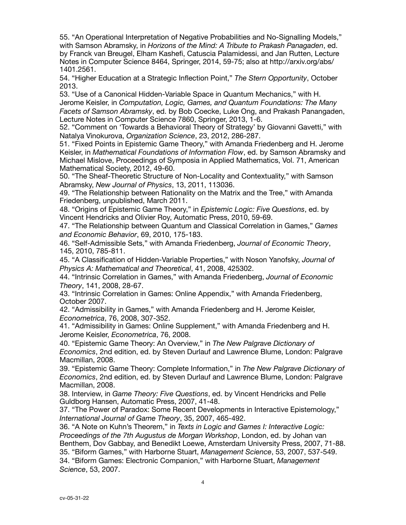55. "An Operational Interpretation of Negative Probabilities and No-Signalling Models," with Samson Abramsky, in *Horizons of the Mind: A Tribute to Prakash Panagaden*, ed. by Franck van Breugel, Elham Kashefi, Catuscia Palamidessi, and Jan Rutten, Lecture Notes in Computer Science 8464, Springer, 2014, 59-75; also at http://arxiv.org/abs/ 1401.2561.

54. "Higher Education at a Strategic Inflection Point," *The Stern Opportunity*, October 2013.

53. "Use of a Canonical Hidden-Variable Space in Quantum Mechanics," with H.

Jerome Keisler, in *Computation, Logic, Games, and Quantum Foundations: The Many Facets of Samson Abramsky*, ed. by Bob Coecke, Luke Ong, and Prakash Panangaden, Lecture Notes in Computer Science 7860, Springer, 2013, 1-6.

52. "Comment on 'Towards a Behavioral Theory of Strategy' by Giovanni Gavetti," with Natalya Vinokurova, *Organization Science*, 23, 2012, 286-287.

51. "Fixed Points in Epistemic Game Theory," with Amanda Friedenberg and H. Jerome Keisler, in *Mathematical Foundations of Information Flow*, ed. by Samson Abramsky and Michael Mislove, Proceedings of Symposia in Applied Mathematics, Vol. 71, American Mathematical Society, 2012, 49-60.

50. "The Sheaf-Theoretic Structure of Non-Locality and Contextuality," with Samson Abramsky, *New Journal of Physics*, 13, 2011, 113036.

49. "The Relationship between Rationality on the Matrix and the Tree," with Amanda Friedenberg, unpublished, March 2011.

48. "Origins of Epistemic Game Theory," in *Epistemic Logic: Five Questions*, ed. by Vincent Hendricks and Olivier Roy, Automatic Press, 2010, 59-69.

47. "The Relationship between Quantum and Classical Correlation in Games," *Games and Economic Behavior*, 69, 2010, 175-183.

46. "Self-Admissible Sets," with Amanda Friedenberg, *Journal of Economic Theory*, 145, 2010, 785-811.

45. "A Classification of Hidden-Variable Properties," with Noson Yanofsky, *Journal of Physics A: Mathematical and Theoretical*, 41, 2008, 425302.

44. "Intrinsic Correlation in Games," with Amanda Friedenberg, *Journal of Economic Theory*, 141, 2008, 28-67.

43. "Intrinsic Correlation in Games: Online Appendix," with Amanda Friedenberg, October 2007.

42. "Admissibility in Games," with Amanda Friedenberg and H. Jerome Keisler, *Econometrica*, 76, 2008, 307-352.

41. "Admissibility in Games: Online Supplement," with Amanda Friedenberg and H. Jerome Keisler, *Econometrica*, 76, 2008.

40. "Epistemic Game Theory: An Overview," in *The New Palgrave Dictionary of Economics*, 2nd edition, ed. by Steven Durlauf and Lawrence Blume, London: Palgrave Macmillan, 2008.

39. "Epistemic Game Theory: Complete Information," in *The New Palgrave Dictionary of Economics*, 2nd edition, ed. by Steven Durlauf and Lawrence Blume, London: Palgrave Macmillan, 2008.

38. Interview, in *Game Theory: Five Questions*, ed. by Vincent Hendricks and Pelle Guldborg Hansen, Automatic Press, 2007, 41-48.

37. "The Power of Paradox: Some Recent Developments in Interactive Epistemology," *International Journal of Game Theory*, 35, 2007, 465-492.

36. "A Note on Kuhn's Theorem," in *Texts in Logic and Games I: Interactive Logic: Proceedings of the 7th Augustus de Morgan Workshop*, London, ed. by Johan van Benthem, Dov Gabbay, and Benedikt Loewe, Amsterdam University Press, 2007, 71-88. 35. "Biform Games," with Harborne Stuart, *Management Science*, 53, 2007, 537-549. 34. "Biform Games: Electronic Companion," with Harborne Stuart, *Management Science*, 53, 2007.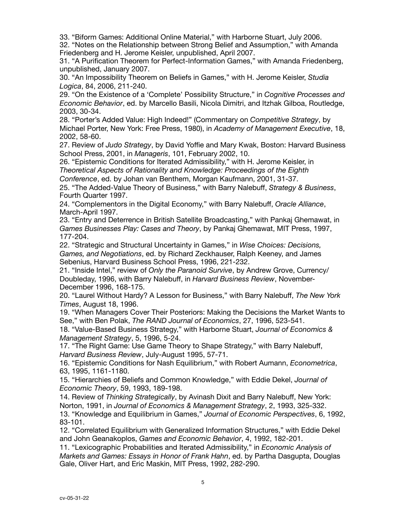33. "Biform Games: Additional Online Material," with Harborne Stuart, July 2006.

32. "Notes on the Relationship between Strong Belief and Assumption," with Amanda Friedenberg and H. Jerome Keisler, unpublished, April 2007.

31. "A Purification Theorem for Perfect-Information Games," with Amanda Friedenberg, unpublished, January 2007.

30. "An Impossibility Theorem on Beliefs in Games," with H. Jerome Keisler, *Studia Logica*, 84, 2006, 211-240.

29. "On the Existence of a 'Complete' Possibility Structure," in *Cognitive Processes and Economic Behavior*, ed. by Marcello Basili, Nicola Dimitri, and Itzhak Gilboa, Routledge, 2003, 30-34.

28. "Porter's Added Value: High Indeed!" (Commentary on *Competitive Strategy*, by Michael Porter, New York: Free Press, 1980), in *Academy of Management Executive*, 18, 2002, 58-60.

27. Review of *Judo Strategy*, by David Yoffie and Mary Kwak, Boston: Harvard Business School Press, 2001, in *Manageris*, 101, February 2002, 10.

26. "Epistemic Conditions for Iterated Admissibility," with H. Jerome Keisler, in *Theoretical Aspects of Rationality and Knowledge: Proceedings of the Eighth* 

*Conference*, ed. by Johan van Benthem, Morgan Kaufmann, 2001, 31-37.

25. "The Added-Value Theory of Business," with Barry Nalebuff, *Strategy & Business*, Fourth Quarter 1997.

24. "Complementors in the Digital Economy," with Barry Nalebuff, *Oracle Alliance*, March-April 1997.

23. "Entry and Deterrence in British Satellite Broadcasting," with Pankaj Ghemawat, in *Games Businesses Play: Cases and Theory*, by Pankaj Ghemawat, MIT Press, 1997, 177-204.

22. "Strategic and Structural Uncertainty in Games," in *Wise Choices: Decisions, Games, and Negotiations*, ed. by Richard Zeckhauser, Ralph Keeney, and James Sebenius, Harvard Business School Press, 1996, 221-232.

21. "Inside Intel," review of *Only the Paranoid Survive*, by Andrew Grove, Currency/ Doubleday, 1996, with Barry Nalebuff, in *Harvard Business Review*, November-December 1996, 168-175.

20. "Laurel Without Hardy? A Lesson for Business," with Barry Nalebuff, *The New York Times*, August 18, 1996.

19. "When Managers Cover Their Posteriors: Making the Decisions the Market Wants to See," with Ben Polak, *The RAND Journal of Economics*, 27, 1996, 523-541.

18. "Value-Based Business Strategy," with Harborne Stuart, *Journal of Economics & Management Strategy*, 5, 1996, 5-24.

17. "The Right Game: Use Game Theory to Shape Strategy," with Barry Nalebuff, *Harvard Business Review*, July-August 1995, 57-71.

16. "Epistemic Conditions for Nash Equilibrium," with Robert Aumann, *Econometrica*, 63, 1995, 1161-1180.

15. "Hierarchies of Beliefs and Common Knowledge," with Eddie Dekel, *Journal of Economic Theory*, 59, 1993, 189-198.

14. Review of *Thinking Strategically*, by Avinash Dixit and Barry Nalebuff, New York: Norton, 1991, in *Journal of Economics & Management Strategy*, 2, 1993, 325-332.

13. "Knowledge and Equilibrium in Games," *Journal of Economic Perspectives*, 6, 1992, 83-101.

12. "Correlated Equilibrium with Generalized Information Structures," with Eddie Dekel and John Geanakoplos, *Games and Economic Behavior*, 4, 1992, 182-201.

11. "Lexicographic Probabilities and Iterated Admissibility," in *Economic Analysis of Markets and Games: Essays in Honor of Frank Hahn*, ed. by Partha Dasgupta, Douglas Gale, Oliver Hart, and Eric Maskin, MIT Press, 1992, 282-290.

5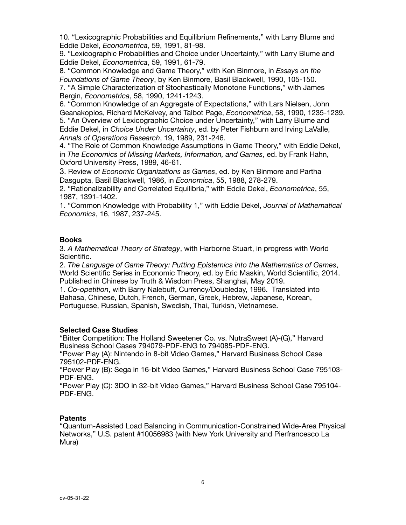10. "Lexicographic Probabilities and Equilibrium Refinements," with Larry Blume and Eddie Dekel, *Econometrica*, 59, 1991, 81-98.

9. "Lexicographic Probabilities and Choice under Uncertainty," with Larry Blume and Eddie Dekel, *Econometrica*, 59, 1991, 61-79.

8. "Common Knowledge and Game Theory," with Ken Binmore, in *Essays on the Foundations of Game Theory*, by Ken Binmore, Basil Blackwell, 1990, 105-150. 7. "A Simple Characterization of Stochastically Monotone Functions," with James

Bergin, *Econometrica*, 58, 1990, 1241-1243.

6. "Common Knowledge of an Aggregate of Expectations," with Lars Nielsen, John Geanakoplos, Richard McKelvey, and Talbot Page, *Econometrica*, 58, 1990, 1235-1239. 5. "An Overview of Lexicographic Choice under Uncertainty," with Larry Blume and Eddie Dekel, in *Choice Under Uncertainty*, ed. by Peter Fishburn and Irving LaValle, *Annals of Operations Research*, 19, 1989, 231-246.

4. "The Role of Common Knowledge Assumptions in Game Theory," with Eddie Dekel, in *The Economics of Missing Markets, Information, and Games*, ed. by Frank Hahn, Oxford University Press, 1989, 46-61.

3. Review of *Economic Organizations as Games*, ed. by Ken Binmore and Partha Dasgupta, Basil Blackwell, 1986, in *Economica*, 55, 1988, 278-279.

2. "Rationalizability and Correlated Equilibria," with Eddie Dekel, *Econometrica*, 55, 1987, 1391-1402.

1. "Common Knowledge with Probability 1," with Eddie Dekel, *Journal of Mathematical Economics*, 16, 1987, 237-245.

## **Books**

3. *A Mathematical Theory of Strategy*, with Harborne Stuart, in progress with World Scientific.

2. *The Language of Game Theory: Putting Epistemics into the Mathematics of Games*, World Scientific Series in Economic Theory, ed. by Eric Maskin, World Scientific, 2014. Published in Chinese by Truth & Wisdom Press, Shanghai, May 2019.

1. *Co-opetition*, with Barry Nalebuff, Currency/Doubleday, 1996. Translated into Bahasa, Chinese, Dutch, French, German, Greek, Hebrew, Japanese, Korean, Portuguese, Russian, Spanish, Swedish, Thai, Turkish, Vietnamese.

### **Selected Case Studies**

"Bitter Competition: The Holland Sweetener Co. vs. NutraSweet (A)-(G)," Harvard Business School Cases 794079-PDF-ENG to 794085-PDF-ENG.

"Power Play (A): Nintendo in 8-bit Video Games," Harvard Business School Case 795102-PDF-ENG.

"Power Play (B): Sega in 16-bit Video Games," Harvard Business School Case 795103- PDF-ENG.

"Power Play (C): 3DO in 32-bit Video Games," Harvard Business School Case 795104- PDF-ENG.

### **Patents**

"Quantum-Assisted Load Balancing in Communication-Constrained Wide-Area Physical Networks," U.S. patent #10056983 (with New York University and Pierfrancesco La Mura)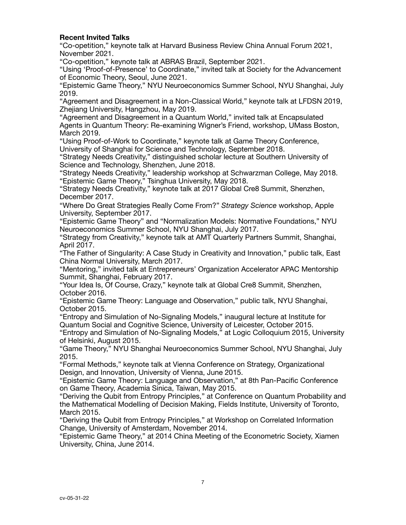### **Recent Invited Talks**

"Co-opetition," keynote talk at Harvard Business Review China Annual Forum 2021, November 2021.

"Co-opetition," keynote talk at ABRAS Brazil, September 2021.

"Using 'Proof-of-Presence' to Coordinate," invited talk at Society for the Advancement of Economic Theory, Seoul, June 2021.

"Epistemic Game Theory," NYU Neuroeconomics Summer School, NYU Shanghai, July 2019.

"Agreement and Disagreement in a Non-Classical World," keynote talk at LFDSN 2019, Zhejiang University, Hangzhou, May 2019.

"Agreement and Disagreement in a Quantum World," invited talk at Encapsulated Agents in Quantum Theory: Re-examining Wigner's Friend, workshop, UMass Boston, March 2019.

"Using Proof-of-Work to Coordinate," keynote talk at Game Theory Conference, University of Shanghai for Science and Technology, September 2018.

"Strategy Needs Creativity," distinguished scholar lecture at Southern University of Science and Technology, Shenzhen, June 2018.

"Strategy Needs Creativity," leadership workshop at Schwarzman College, May 2018. "Epistemic Game Theory," Tsinghua University, May 2018.

"Strategy Needs Creativity," keynote talk at 2017 Global Cre8 Summit, Shenzhen, December 2017.

"Where Do Great Strategies Really Come From?" *Strategy Science* workshop, Apple University, September 2017.

"Epistemic Game Theory" and "Normalization Models: Normative Foundations," NYU Neuroeconomics Summer School, NYU Shanghai, July 2017.

"Strategy from Creativity," keynote talk at AMT Quarterly Partners Summit, Shanghai, April 2017.

"The Father of Singularity: A Case Study in Creativity and Innovation," public talk, East China Normal University, March 2017.

"Mentoring," invited talk at Entrepreneurs' Organization Accelerator APAC Mentorship Summit, Shanghai, February 2017.

"Your Idea Is, Of Course, Crazy," keynote talk at Global Cre8 Summit, Shenzhen, October 2016.

"Epistemic Game Theory: Language and Observation," public talk, NYU Shanghai, October 2015.

"Entropy and Simulation of No-Signaling Models," inaugural lecture at Institute for Quantum Social and Cognitive Science, University of Leicester, October 2015.

"Entropy and Simulation of No-Signaling Models," at Logic Colloquium 2015, University of Helsinki, August 2015.

"Game Theory," NYU Shanghai Neuroeconomics Summer School, NYU Shanghai, July 2015.

"Formal Methods," keynote talk at Vienna Conference on Strategy, Organizational Design, and Innovation, University of Vienna, June 2015.

"Epistemic Game Theory: Language and Observation," at 8th Pan-Pacific Conference on Game Theory, Academia Sinica, Taiwan, May 2015.

"Deriving the Qubit from Entropy Principles," at Conference on Quantum Probability and the Mathematical Modelling of Decision Making, Fields Institute, University of Toronto, March 2015.

"Deriving the Qubit from Entropy Principles," at Workshop on Correlated Information Change, University of Amsterdam, November 2014.

"Epistemic Game Theory," at 2014 China Meeting of the Econometric Society, Xiamen University, China, June 2014.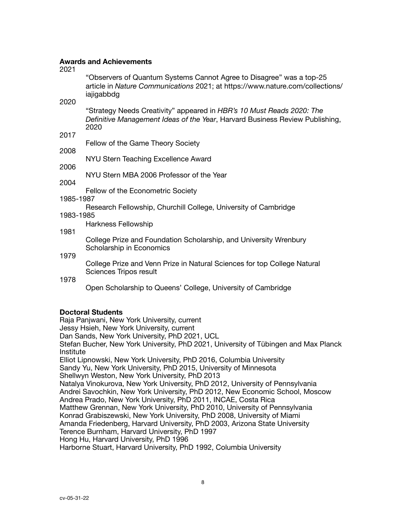## **Awards and Achievements**

2021

"Observers of Quantum Systems Cannot Agree to Disagree" was a top-25 article in *Nature Communications* 2021; at https://www.nature.com/collections/ iajigabbdg

2020

"Strategy Needs Creativity" appeared in *HBR's 10 Must Reads 2020: The Definitive Management Ideas of the Year*, Harvard Business Review Publishing, 2020

2017

Fellow of the Game Theory Society

2008

NYU Stern Teaching Excellence Award

2006

NYU Stern MBA 2006 Professor of the Year

2004

Fellow of the Econometric Society

1985-1987

Research Fellowship, Churchill College, University of Cambridge

1983-1985

Harkness Fellowship

1981

College Prize and Foundation Scholarship, and University Wrenbury Scholarship in Economics

1979

College Prize and Venn Prize in Natural Sciences for top College Natural Sciences Tripos result

1978

Open Scholarship to Queens' College, University of Cambridge

# **Doctoral Students**

Raja Panjwani, New York University, current Jessy Hsieh, New York University, current Dan Sands, New York University, PhD 2021, UCL Stefan Bucher, New York University, PhD 2021, University of Tübingen and Max Planck Institute Elliot Lipnowski, New York University, PhD 2016, Columbia University Sandy Yu, New York University, PhD 2015, University of Minnesota Shellwyn Weston, New York University, PhD 2013 Natalya Vinokurova, New York University, PhD 2012, University of Pennsylvania Andrei Savochkin, New York University, PhD 2012, New Economic School, Moscow Andrea Prado, New York University, PhD 2011, INCAE, Costa Rica Matthew Grennan, New York University, PhD 2010, University of Pennsylvania Konrad Grabiszewski, New York University, PhD 2008, University of Miami Amanda Friedenberg, Harvard University, PhD 2003, Arizona State University Terence Burnham, Harvard University, PhD 1997 Hong Hu, Harvard University, PhD 1996 Harborne Stuart, Harvard University, PhD 1992, Columbia University